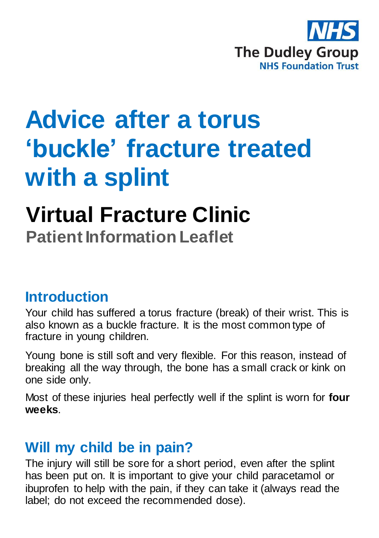

# **Advice after a torus 'buckle' fracture treated with a splint**

## **Virtual Fracture Clinic Patient Information Leaflet**

#### **Introduction**

Your child has suffered a torus fracture (break) of their wrist. This is also known as a buckle fracture. It is the most common type of fracture in young children.

Young bone is still soft and very flexible. For this reason, instead of breaking all the way through, the bone has a small crack or kink on one side only.

Most of these injuries heal perfectly well if the splint is worn for **four weeks**.

#### **Will my child be in pain?**

The injury will still be sore for a short period, even after the splint has been put on. It is important to give your child paracetamol or ibuprofen to help with the pain, if they can take it (always read the label; do not exceed the recommended dose).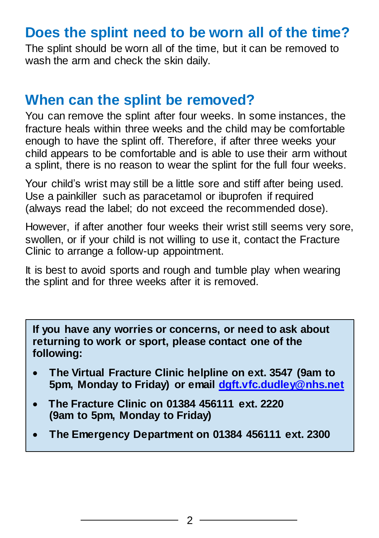### **Does the splint need to be worn all of the time?**

The splint should be worn all of the time, but it can be removed to wash the arm and check the skin daily.

#### **When can the splint be removed?**

You can remove the splint after four weeks. In some instances, the fracture heals within three weeks and the child may be comfortable enough to have the splint off. Therefore, if after three weeks your child appears to be comfortable and is able to use their arm without a splint, there is no reason to wear the splint for the full four weeks.

Your child's wrist may still be a little sore and stiff after being used. Use a painkiller such as paracetamol or ibuprofen if required (always read the label; do not exceed the recommended dose).

However, if after another four weeks their wrist still seems very sore, swollen, or if your child is not willing to use it, contact the Fracture Clinic to arrange a follow-up appointment.

It is best to avoid sports and rough and tumble play when wearing the splint and for three weeks after it is removed.

**If you have any worries or concerns, or need to ask about returning to work or sport, please contact one of the following:**

- **The Virtual Fracture Clinic helpline on ext. 3547 (9am to 5pm, Monday to Friday) or email [dgft.vfc.dudley@nhs.net](file://///dgohbrkfile/Foundation_Team$/Patient%20Information/Patient%20Information%20Leaflets/Patient%20Information%20Current%20Leaflets/Trauma%20and%20Orthopaedics/Virtual%20Fracture%20Clinic/Word/dgft.vfc.dudley@nhs.net)**
- **The Fracture Clinic on 01384 456111 ext. 2220 (9am to 5pm, Monday to Friday)**
- **The Emergency Department on 01384 456111 ext. 2300**